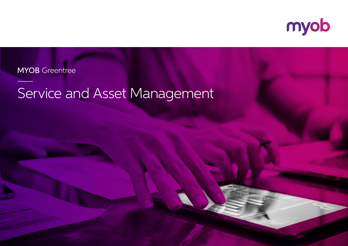

**MYOB** Greentree

## Service and Asset Management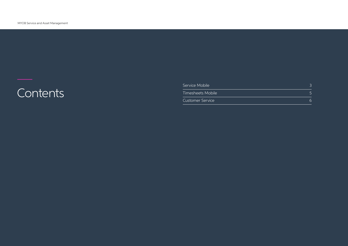# —<br>Contents

| Service Mobile          |  |
|-------------------------|--|
| Timesheets Mobile       |  |
| <b>Customer Service</b> |  |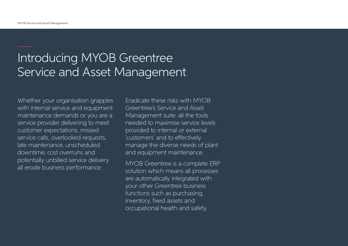### Introducing MYOB Greentree Service and Asset Management

Whether your organisation grapples with internal service and equipment maintenance demands or you are a service provider delivering to meet customer expectations, missed service calls, overlooked requests, late maintenance, unscheduled downtime, cost overruns and potentially unbilled service delivery all erode business performance.

Eradicate these risks with MYOB Greentree's Service and Asset Management suite: all the tools needed to maximise service levels provided to internal or external 'customers' and to effectively manage the diverse needs of plant and equipment maintenance.

MYOB Greentree is a complete ERP solution which means all processes are automatically integrated with your other Greentree business functions such as purchasing, inventory, fixed assets and occupational health and safety.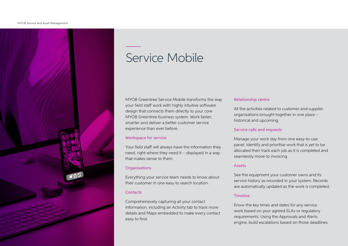

### Service Mobile

MYOB Greentree Service Mobile transforms the way your field staff work with highly intuitive software design that connects them directly to your core MYOB Greentree business system. Work faster, smarter and deliver a better customer service experience than ever before.

#### Workspace for service

Your field staff will always have the information they need, right where they need it – displayed in a way that makes sense to them.

#### **Organisations**

Everything your service team needs to know about their customer in one easy to search location.

#### **Contacts**

Comprehensively capturing all your contact information, including an Activity tab to track more details and Maps embedded to make every contact easy to find.

#### Relationship centre

All the activities related to customer and supplier organisations brought together in one place – historical and upcoming.

#### Service calls and requests

Manage your work day from one easy-to-use panel. Identify and prioritise work that is yet to be allocated then track each job as it is completed and seamlessly move to invoicing.

#### Assets

See the equipment your customer owns and its service history as recorded in your system. Records are automatically updated as the work is completed.

#### Timeline

Know the key times and dates for any service work based on your agreed SLAs or regulatory requirements. Using the Approvals and Alerts engine, build escalations based on those deadlines.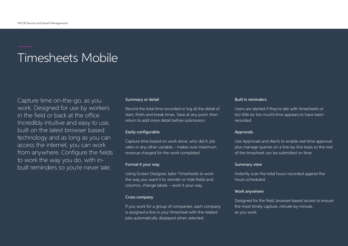### Timesheets Mobile

Capture time on-the-go, as you work. Designed for use by workers in the field or back at the office. Incredibly intuitive and easy to use, built on the latest browser based technology and as long as you can access the internet, you can work from anywhere. Configure the fields to work the way you do, with inbuilt reminders so you're never late.

#### Summary or detail

Record the total time recorded or log all the detail of start, finish and break times. Save at any point, then return to add more detail before submission.

#### Easily configurable

Capture time based on work done, who did it, job rates or any other variable – makes sure maximum revenue charged for the work completed.

#### Format it your way

Using Screen Designer, tailor Timesheets to work the way you want it to: reorder or hide fields and columns, change labels – work it your way.

#### Cross company

If you work for a group of companies, each company is assigned a line in your timesheet with the related jobs automatically displayed when selected.

#### Built in reminders

Users are alerted if they're late with timesheets or too little (or too much) time appears to have been recorded.

#### Approvals

Use Approvals and Alerts to enable real-time approval plus manage queries on a line-by-line basis so the rest of the timesheet can be submitted on time.

#### Summary view

Instantly scan the total hours recorded against the hours scheduled.

#### Work anywhere

Designed for the field, browser-based access to ensure the most timely capture, minute-by-minute, as you work.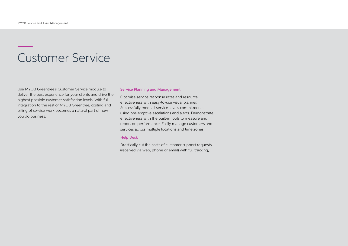### Customer Service

Use MYOB Greentree's Customer Service module to deliver the best experience for your clients and drive the highest possible customer satisfaction levels. With full integration to the rest of MYOB Greentree, costing and billing of service work becomes a natural part of how you do business.

#### Service Planning and Management

Optimise service response rates and resource effectiveness with easy-to-use visual planner. Successfully meet all service-levels commitments using pre-emptive escalations and alerts. Demonstrate effectiveness with the built-in tools to measure and report on performance. Easily manage customers and services across multiple locations and time zones.

#### Help Desk

Drastically cut the costs of customer support requests (received via web, phone or email) with full tracking,